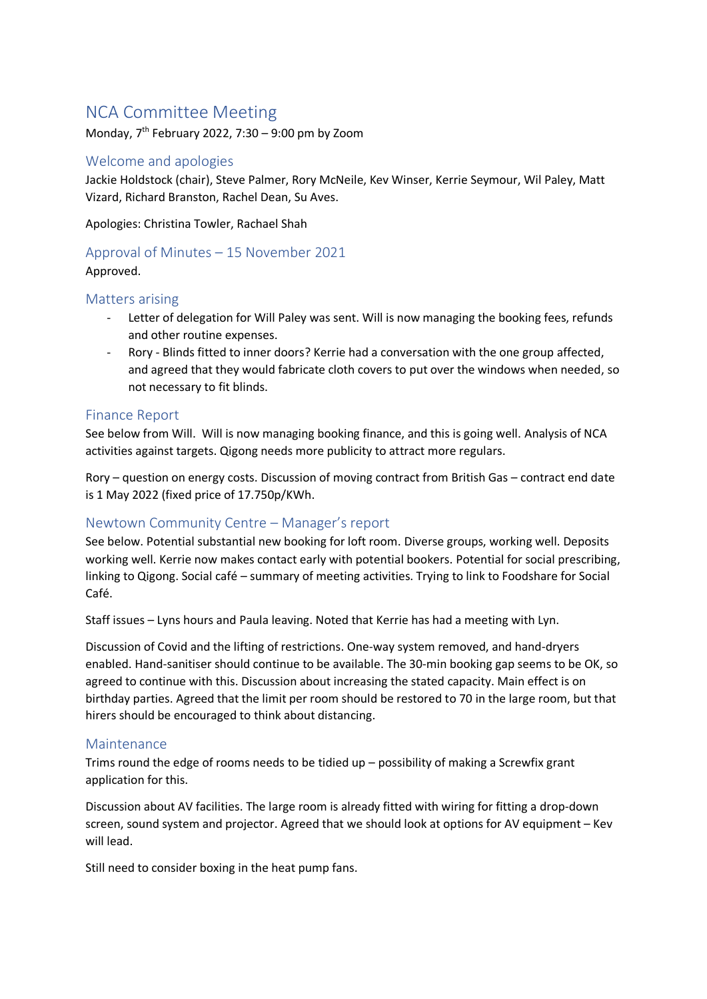# NCA Committee Meeting

Monday, 7 th February 2022, 7:30 – 9:00 pm by Zoom

## Welcome and apologies

Jackie Holdstock (chair), Steve Palmer, Rory McNeile, Kev Winser, Kerrie Seymour, Wil Paley, Matt Vizard, Richard Branston, Rachel Dean, Su Aves.

Apologies: Christina Towler, Rachael Shah

# Approval of Minutes – 15 November 2021

Approved.

## Matters arising

- Letter of delegation for Will Paley was sent. Will is now managing the booking fees, refunds and other routine expenses.
- Rory Blinds fitted to inner doors? Kerrie had a conversation with the one group affected, and agreed that they would fabricate cloth covers to put over the windows when needed, so not necessary to fit blinds.

## Finance Report

See below from Will. Will is now managing booking finance, and this is going well. Analysis of NCA activities against targets. Qigong needs more publicity to attract more regulars.

Rory – question on energy costs. Discussion of moving contract from British Gas – contract end date is 1 May 2022 (fixed price of 17.750p/KWh.

### Newtown Community Centre – Manager's report

See below. Potential substantial new booking for loft room. Diverse groups, working well. Deposits working well. Kerrie now makes contact early with potential bookers. Potential for social prescribing, linking to Qigong. Social café – summary of meeting activities. Trying to link to Foodshare for Social Café.

Staff issues – Lyns hours and Paula leaving. Noted that Kerrie has had a meeting with Lyn.

Discussion of Covid and the lifting of restrictions. One-way system removed, and hand-dryers enabled. Hand-sanitiser should continue to be available. The 30-min booking gap seems to be OK, so agreed to continue with this. Discussion about increasing the stated capacity. Main effect is on birthday parties. Agreed that the limit per room should be restored to 70 in the large room, but that hirers should be encouraged to think about distancing.

### Maintenance

Trims round the edge of rooms needs to be tidied up – possibility of making a Screwfix grant application for this.

Discussion about AV facilities. The large room is already fitted with wiring for fitting a drop-down screen, sound system and projector. Agreed that we should look at options for AV equipment – Kev will lead.

Still need to consider boxing in the heat pump fans.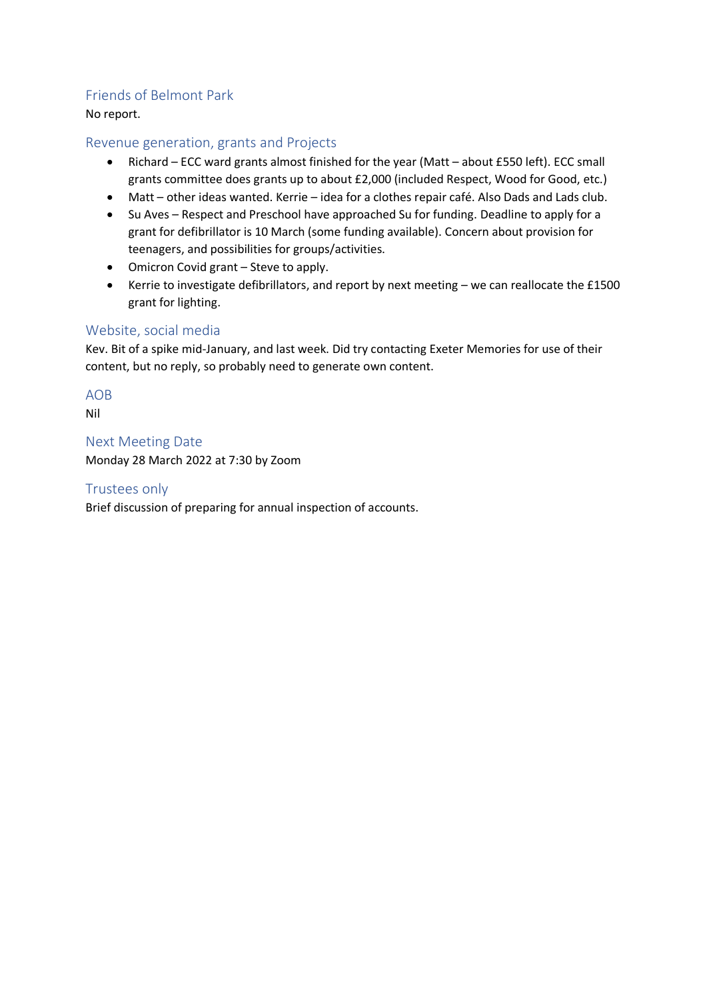## Friends of Belmont Park

No report.

## Revenue generation, grants and Projects

- Richard ECC ward grants almost finished for the year (Matt about £550 left). ECC small grants committee does grants up to about £2,000 (included Respect, Wood for Good, etc.)
- Matt other ideas wanted. Kerrie idea for a clothes repair café. Also Dads and Lads club.
- Su Aves Respect and Preschool have approached Su for funding. Deadline to apply for a grant for defibrillator is 10 March (some funding available). Concern about provision for teenagers, and possibilities for groups/activities.
- Omicron Covid grant Steve to apply.
- Kerrie to investigate defibrillators, and report by next meeting we can reallocate the £1500 grant for lighting.

## Website, social media

Kev. Bit of a spike mid-January, and last week. Did try contacting Exeter Memories for use of their content, but no reply, so probably need to generate own content.

### AOB

Nil

Next Meeting Date Monday 28 March 2022 at 7:30 by Zoom

## Trustees only

Brief discussion of preparing for annual inspection of accounts.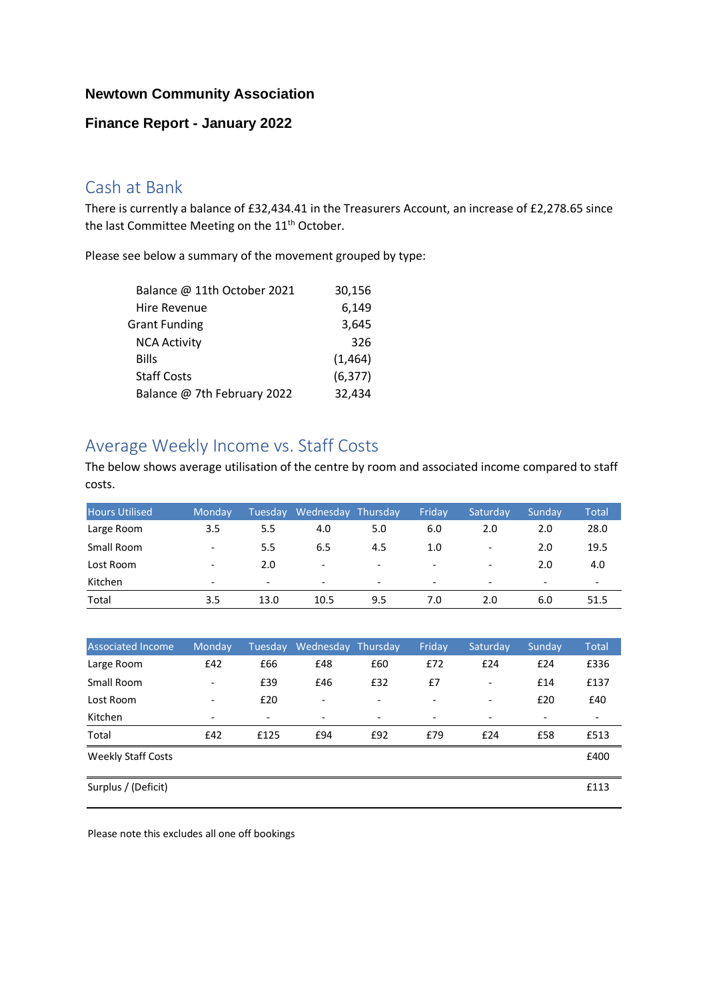## **Newtown Community Association**

## **Finance Report - January 2022**

# Cash at Bank

There is currently a balance of £32,434.41 in the Treasurers Account, an increase of £2,278.65 since the last Committee Meeting on the 11<sup>th</sup> October.

Please see below a summary of the movement grouped by type:

| Balance @ 11th October 2021 | 30,156   |
|-----------------------------|----------|
| <b>Hire Revenue</b>         | 6,149    |
| <b>Grant Funding</b>        | 3,645    |
| <b>NCA Activity</b>         | 326      |
| Bills                       | (1, 464) |
| <b>Staff Costs</b>          | (6, 377) |
| Balance @ 7th February 2022 | 32,434   |

# Average Weekly Income vs. Staff Costs

The below shows average utilisation of the centre by room and associated income compared to staff costs.

| <b>Hours Utilised</b> | Mondav                   | Tuesday                  | Wednesday Thursday       |                          | Fridav                   | Saturday <sup>'</sup>    | Sunday                   | Total                    |
|-----------------------|--------------------------|--------------------------|--------------------------|--------------------------|--------------------------|--------------------------|--------------------------|--------------------------|
| Large Room            | 3.5                      | 5.5                      | 4.0                      | 5.0                      | 6.0                      | 2.0                      | 2.0                      | 28.0                     |
| Small Room            | $\overline{\phantom{a}}$ | 5.5                      | 6.5                      | 4.5                      | 1.0                      | -                        | 2.0                      | 19.5                     |
| Lost Room             | $\overline{\phantom{0}}$ | 2.0                      | $\overline{\phantom{0}}$ | $\overline{\phantom{0}}$ | $\overline{\phantom{a}}$ | $\overline{\phantom{a}}$ | 2.0                      | 4.0                      |
| Kitchen               | $\overline{\phantom{0}}$ | $\overline{\phantom{0}}$ | $\overline{\phantom{0}}$ | $\overline{\phantom{0}}$ | $\overline{\phantom{a}}$ | $\overline{\phantom{a}}$ | $\overline{\phantom{0}}$ | $\overline{\phantom{0}}$ |
| Total                 | 3.5                      | 13.0                     | 10.5                     | 9.5                      | 7.0                      | 2.0                      | 6.0                      | 51.5                     |

| <b>Associated Income</b>  | Monday                       | Tuesday                  | Wednesday Thursday       |                          | Friday                   | Saturday                 | Sunday                   | <b>Total</b>             |
|---------------------------|------------------------------|--------------------------|--------------------------|--------------------------|--------------------------|--------------------------|--------------------------|--------------------------|
| Large Room                | £42                          | £66                      | £48                      | £60                      | £72                      | £24                      | £24                      | £336                     |
| Small Room                | $\qquad \qquad \blacksquare$ | £39                      | £46                      | £32                      | £7                       | $\overline{\phantom{a}}$ | £14                      | £137                     |
| Lost Room                 | $\overline{\phantom{a}}$     | £20                      | $\overline{\phantom{a}}$ | $\overline{\phantom{0}}$ | $\overline{\phantom{a}}$ | $\overline{\phantom{a}}$ | £20                      | £40                      |
| Kitchen                   | $\overline{\phantom{0}}$     | $\overline{\phantom{a}}$ | $\overline{\phantom{a}}$ | $\overline{\phantom{a}}$ | $\overline{\phantom{a}}$ | $\overline{\phantom{a}}$ | $\overline{\phantom{a}}$ | $\overline{\phantom{a}}$ |
| Total                     | £42                          | £125                     | £94                      | £92                      | £79                      | £24                      | £58                      | £513                     |
| <b>Weekly Staff Costs</b> |                              |                          |                          |                          |                          |                          |                          | £400                     |
| Surplus / (Deficit)       |                              |                          |                          |                          |                          |                          |                          | £113                     |

Please note this excludes all one off bookings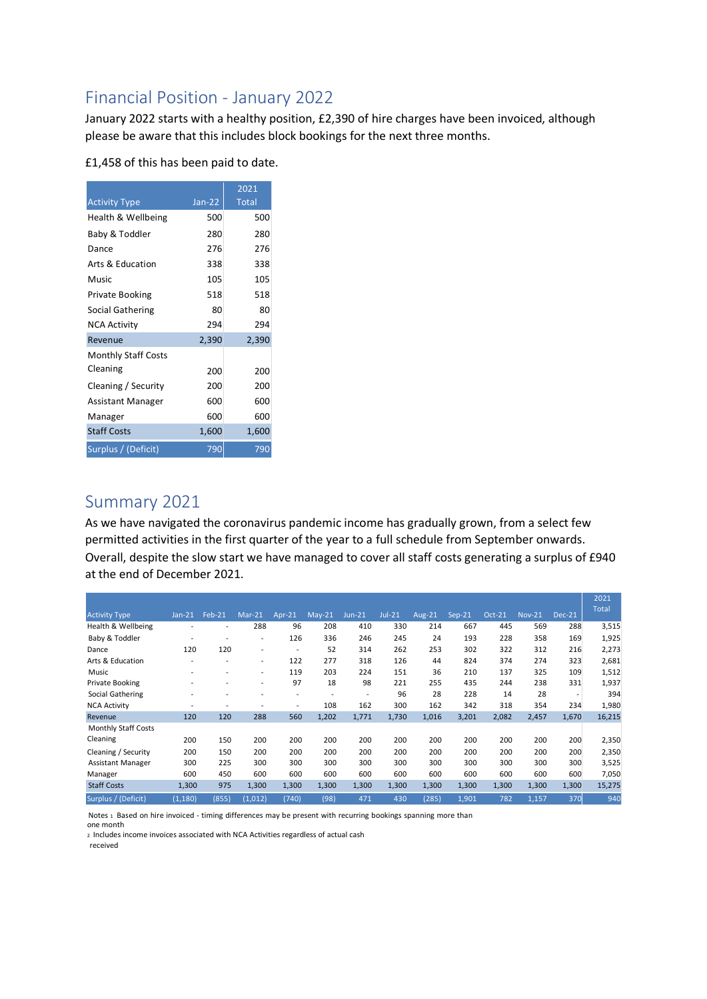# Financial Position - January 2022

January 2022 starts with a healthy position, £2,390 of hire charges have been invoiced, although please be aware that this includes block bookings for the next three months.

| £1,458 of this has been paid to date. |  |  |  |  |  |  |
|---------------------------------------|--|--|--|--|--|--|
|---------------------------------------|--|--|--|--|--|--|

|                            |          | 2021         |
|----------------------------|----------|--------------|
| <b>Activity Type</b>       | $Jan-22$ | <b>Total</b> |
| Health & Wellbeing         | 500      | 500          |
| Baby & Toddler             | 280      | 280          |
| Dance                      | 276      | 276          |
| Arts & Education           | 338      | 338          |
| Music                      | 105      | 105          |
| Private Booking            | 518      | 518          |
| Social Gathering           | 80       | 80           |
| <b>NCA Activity</b>        | 294      | 294          |
| Revenue                    | 2,390    | 2,390        |
| <b>Monthly Staff Costs</b> |          |              |
| Cleaning                   | 200      | 200          |
| Cleaning / Security        | 200      | 200          |
| Assistant Manager          | 600      | 600          |
| Manager                    | 600      | 600          |
| <b>Staff Costs</b>         | 1,600    | 1,600        |
| Surplus / (Deficit)        | 790      | 790          |

# Summary 2021

As we have navigated the coronavirus pandemic income has gradually grown, from a select few permitted activities in the first quarter of the year to a full schedule from September onwards. Overall, despite the slow start we have managed to cover all staff costs generating a surplus of £940 at the end of December 2021.

|                            |          |        |                          |                |                          |          |        |               |        |          |               |          | 2021         |
|----------------------------|----------|--------|--------------------------|----------------|--------------------------|----------|--------|---------------|--------|----------|---------------|----------|--------------|
| <b>Activity Type</b>       | $Jan-21$ | Feb-21 | $Mar-21$                 | Apr-21         | $May-21$                 | $Jun-21$ | Jul-21 | <b>Aug-21</b> | Sep-21 | $Oct-21$ | <b>Nov-21</b> | $Dec-21$ | <b>Total</b> |
| Health & Wellbeing         |          |        | 288                      | 96             | 208                      | 410      | 330    | 214           | 667    | 445      | 569           | 288      | 3,515        |
| Baby & Toddler             |          |        | $\overline{\phantom{a}}$ | 126            | 336                      | 246      | 245    | 24            | 193    | 228      | 358           | 169      | 1,925        |
| Dance                      | 120      | 120    | $\overline{a}$           | $\overline{a}$ | 52                       | 314      | 262    | 253           | 302    | 322      | 312           | 216      | 2,273        |
| Arts & Education           |          |        | $\overline{\phantom{a}}$ | 122            | 277                      | 318      | 126    | 44            | 824    | 374      | 274           | 323      | 2,681        |
| Music                      |          |        | $\overline{a}$           | 119            | 203                      | 224      | 151    | 36            | 210    | 137      | 325           | 109      | 1,512        |
| Private Booking            |          |        | $\overline{\phantom{a}}$ | 97             | 18                       | 98       | 221    | 255           | 435    | 244      | 238           | 331      | 1,937        |
| Social Gathering           |          |        |                          | $\overline{a}$ | $\overline{\phantom{a}}$ |          | 96     | 28            | 228    | 14       | 28            | ۰        | 394          |
| <b>NCA Activity</b>        |          |        |                          | $\overline{a}$ | 108                      | 162      | 300    | 162           | 342    | 318      | 354           | 234      | 1,980        |
| Revenue                    | 120      | 120    | 288                      | 560            | 1,202                    | 1,771    | 1,730  | 1,016         | 3,201  | 2,082    | 2,457         | 1,670    | 16,215       |
| <b>Monthly Staff Costs</b> |          |        |                          |                |                          |          |        |               |        |          |               |          |              |
| Cleaning                   | 200      | 150    | 200                      | 200            | 200                      | 200      | 200    | 200           | 200    | 200      | 200           | 200      | 2,350        |
| Cleaning / Security        | 200      | 150    | 200                      | 200            | 200                      | 200      | 200    | 200           | 200    | 200      | 200           | 200      | 2,350        |
| Assistant Manager          | 300      | 225    | 300                      | 300            | 300                      | 300      | 300    | 300           | 300    | 300      | 300           | 300      | 3,525        |
| Manager                    | 600      | 450    | 600                      | 600            | 600                      | 600      | 600    | 600           | 600    | 600      | 600           | 600      | 7,050        |
| <b>Staff Costs</b>         | 1,300    | 975    | 1,300                    | 1,300          | 1,300                    | 1,300    | 1,300  | 1,300         | 1,300  | 1,300    | 1,300         | 1,300    | 15,275       |
| Surplus / (Deficit)        | (1, 180) | (855)  | (1,012)                  | (740)          | (98)                     | 471      | 430    | (285)         | 1,901  | 782      | 1,157         | 370      | 940          |

Notes 1 Based on hire invoiced - timing differences may be present with recurring bookings spanning more than one month

2 Includes income invoices associated with NCA Activities regardless of actual cash

received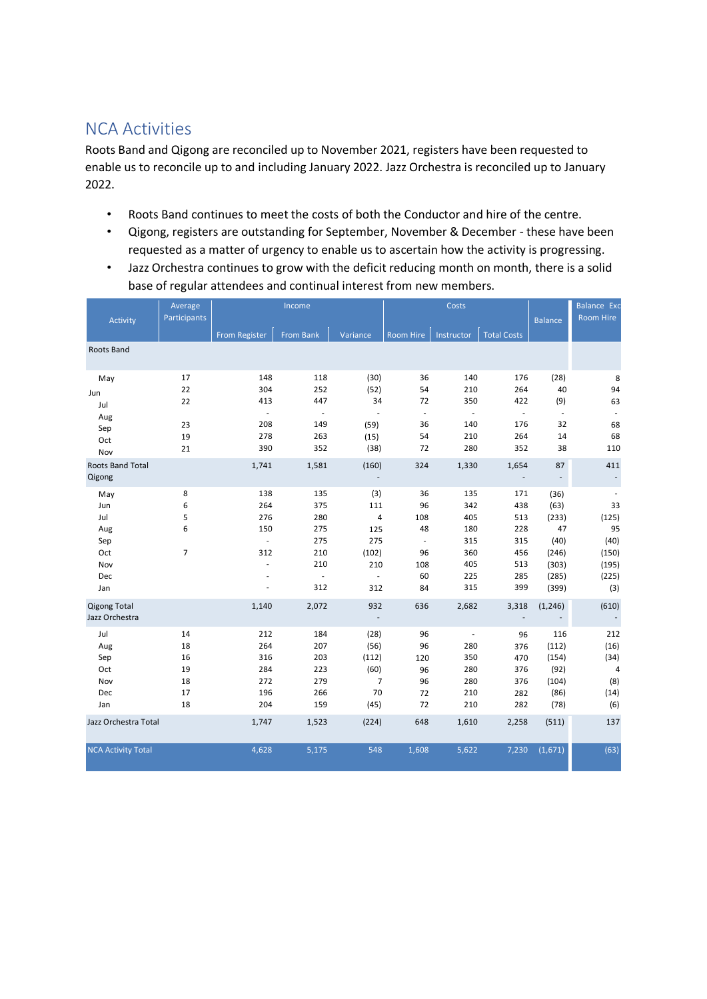# NCA Activities

Roots Band and Qigong are reconciled up to November 2021, registers have been requested to enable us to reconcile up to and including January 2022. Jazz Orchestra is reconciled up to January 2022.

- Roots Band continues to meet the costs of both the Conductor and hire of the centre.
- Qigong, registers are outstanding for September, November & December these have been requested as a matter of urgency to enable us to ascertain how the activity is progressing.
- Jazz Orchestra continues to grow with the deficit reducing month on month, there is a solid base of regular attendees and continual interest from new members.

| Activity                              | Average<br>Participants |                             | Income                   |                          |                             | Costs                    | <b>Balance</b>     | <b>Balance Exc</b><br><b>Room Hire</b> |          |
|---------------------------------------|-------------------------|-----------------------------|--------------------------|--------------------------|-----------------------------|--------------------------|--------------------|----------------------------------------|----------|
|                                       |                         | <b>From Register</b>        | <b>From Bank</b>         | Variance                 | Room Hire                   | Instructor               | <b>Total Costs</b> |                                        |          |
| Roots Band                            |                         |                             |                          |                          |                             |                          |                    |                                        |          |
| May                                   | 17                      | 148                         | 118                      | (30)                     | 36                          | 140                      | 176                | (28)                                   | 8        |
| Jun                                   | 22                      | 304                         | 252                      | (52)                     | 54                          | 210                      | 264                | 40                                     | 94       |
| Jul                                   | 22                      | 413                         | 447                      | 34                       | 72                          | 350                      | 422                | (9)                                    | 63       |
| Aug                                   |                         | $\mathcal{L}_{\mathcal{A}}$ | $\overline{\phantom{a}}$ | $\sim$                   | $\mathcal{L}_{\mathcal{A}}$ | $\overline{\phantom{a}}$ | $\omega$           | $\sim$                                 |          |
| Sep                                   | 23                      | 208                         | 149                      | (59)                     | 36<br>54                    | 140                      | 176<br>264         | 32                                     | 68<br>68 |
| Oct                                   | 19                      | 278<br>390                  | 263<br>352               | (15)<br>(38)             | 72                          | 210<br>280               | 352                | 14<br>38                               | 110      |
| Nov                                   | 21                      |                             |                          |                          |                             |                          |                    |                                        |          |
| <b>Roots Band Total</b><br>Qigong     |                         | 1,741                       | 1,581                    | (160)                    | 324                         | 1,330                    | 1,654              | 87<br>$\overline{\phantom{a}}$         | 411      |
| May                                   | 8                       | 138                         | 135                      | (3)                      | 36                          | 135                      | 171                | (36)                                   |          |
| Jun                                   | 6                       | 264                         | 375                      | 111                      | 96                          | 342                      | 438                | (63)                                   | 33       |
| Jul                                   | 5                       | 276                         | 280                      | 4                        | 108                         | 405                      | 513                | (233)                                  | (125)    |
| Aug                                   | 6                       | 150                         | 275                      | 125                      | 48                          | 180                      | 228                | 47                                     | 95       |
| Sep                                   |                         | $\overline{\phantom{a}}$    | 275                      | 275                      | ÷,                          | 315                      | 315                | (40)                                   | (40)     |
| Oct                                   | $\overline{7}$          | 312                         | 210                      | (102)                    | 96                          | 360                      | 456                | (246)                                  | (150)    |
| Nov                                   |                         | ÷,                          | 210                      | 210                      | 108                         | 405                      | 513                | (303)                                  | (195)    |
| Dec                                   |                         |                             | $\overline{\phantom{a}}$ | $\overline{\phantom{a}}$ | 60                          | 225                      | 285                | (285)                                  | (225)    |
| Jan                                   |                         | ä,                          | 312                      | 312                      | 84                          | 315                      | 399                | (399)                                  | (3)      |
| <b>Qigong Total</b><br>Jazz Orchestra |                         | 1,140                       | 2,072                    | 932                      | 636                         | 2,682                    | 3,318              | (1, 246)                               | (610)    |
| Jul                                   | 14                      | 212                         | 184                      | (28)                     | 96                          | $\overline{\phantom{a}}$ | 96                 | 116                                    | 212      |
| Aug                                   | 18                      | 264                         | 207                      | (56)                     | 96                          | 280                      | 376                | (112)                                  | (16)     |
| Sep                                   | 16                      | 316                         | 203                      | (112)                    | 120                         | 350                      | 470                | (154)                                  | (34)     |
| Oct                                   | 19                      | 284                         | 223                      | (60)                     | 96                          | 280                      | 376                | (92)                                   | 4        |
| Nov                                   | 18                      | 272                         | 279                      | $\overline{7}$           | 96                          | 280                      | 376                | (104)                                  | (8)      |
| Dec                                   | 17                      | 196                         | 266                      | 70                       | 72                          | 210                      | 282                | (86)                                   | (14)     |
| Jan                                   | 18                      | 204                         | 159                      | (45)                     | 72                          | 210                      | 282                | (78)                                   | (6)      |
| Jazz Orchestra Total                  |                         | 1,747                       | 1,523                    | (224)                    | 648                         | 1,610                    | 2,258              | (511)                                  | 137      |
| <b>NCA Activity Total</b>             |                         | 4,628                       | 5,175                    | 548                      | 1,608                       | 5,622                    | 7,230              | (1,671)                                | (63)     |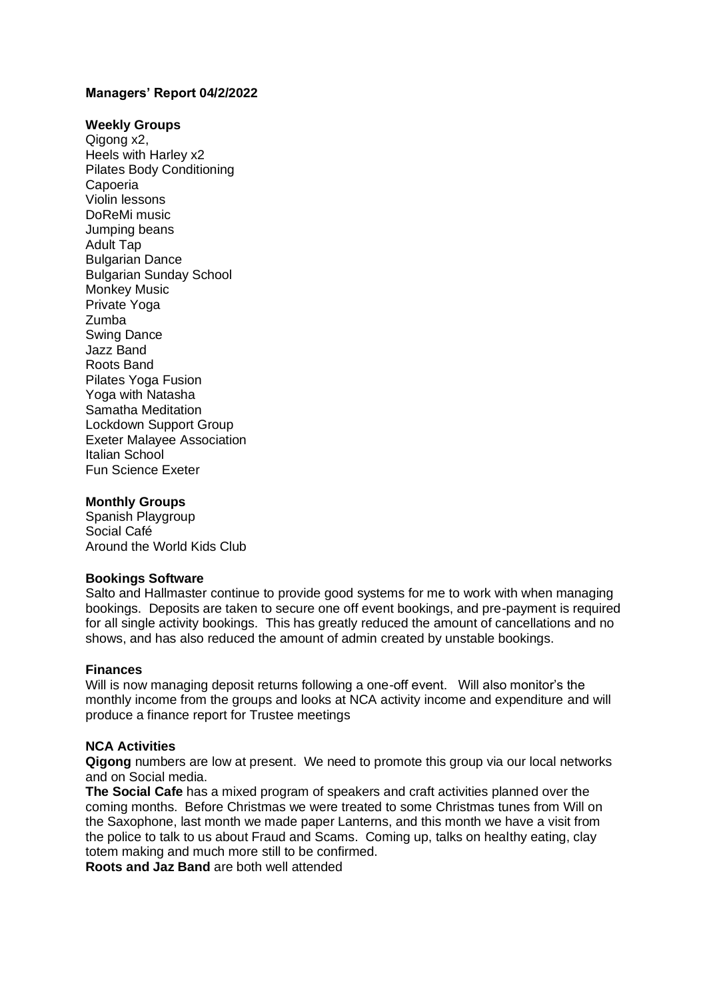### **Managers' Report 04/2/2022**

#### **Weekly Groups**

Qigong x2. Heels with Harley x2 Pilates Body Conditioning Capoeria Violin lessons DoReMi music Jumping beans Adult Tap Bulgarian Dance Bulgarian Sunday School Monkey Music Private Yoga Zumba Swing Dance Jazz Band Roots Band Pilates Yoga Fusion Yoga with Natasha Samatha Meditation Lockdown Support Group Exeter Malayee Association Italian School Fun Science Exeter

#### **Monthly Groups**

Spanish Playgroup Social Café Around the World Kids Club

#### **Bookings Software**

Salto and Hallmaster continue to provide good systems for me to work with when managing bookings. Deposits are taken to secure one off event bookings, and pre-payment is required for all single activity bookings. This has greatly reduced the amount of cancellations and no shows, and has also reduced the amount of admin created by unstable bookings.

#### **Finances**

Will is now managing deposit returns following a one-off event. Will also monitor's the monthly income from the groups and looks at NCA activity income and expenditure and will produce a finance report for Trustee meetings

#### **NCA Activities**

**Qigong** numbers are low at present. We need to promote this group via our local networks and on Social media.

**The Social Cafe** has a mixed program of speakers and craft activities planned over the coming months. Before Christmas we were treated to some Christmas tunes from Will on the Saxophone, last month we made paper Lanterns, and this month we have a visit from the police to talk to us about Fraud and Scams. Coming up, talks on healthy eating, clay totem making and much more still to be confirmed.

**Roots and Jaz Band** are both well attended